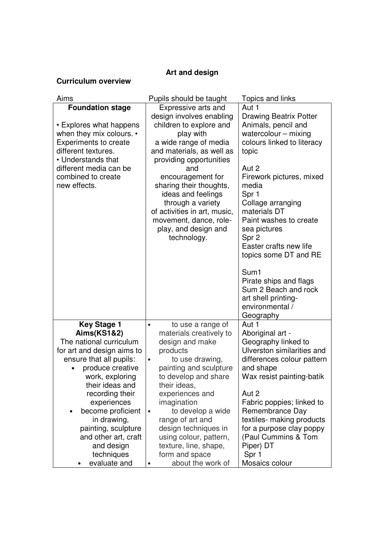## **Art and design**

## **Curriculum overview**

| Aims                                                                                                                                                                                                                        | Pupils should be taught                                                                                                                                                                                                                                                                                                                                                     | Topics and links                                                                                                                                                                                                                                                                                                                                                                                                                                  |
|-----------------------------------------------------------------------------------------------------------------------------------------------------------------------------------------------------------------------------|-----------------------------------------------------------------------------------------------------------------------------------------------------------------------------------------------------------------------------------------------------------------------------------------------------------------------------------------------------------------------------|---------------------------------------------------------------------------------------------------------------------------------------------------------------------------------------------------------------------------------------------------------------------------------------------------------------------------------------------------------------------------------------------------------------------------------------------------|
| <b>Foundation stage</b><br>• Explores what happens<br>when they mix colours. •<br><b>Experiments to create</b><br>different textures.<br>• Understands that<br>different media can be<br>combined to create<br>new effects. | Expressive arts and<br>design involves enabling<br>children to explore and<br>play with<br>a wide range of media<br>and materials, as well as<br>providing opportunities<br>and<br>encouragement for<br>sharing their thoughts,<br>ideas and feelings<br>through a variety<br>of activities in art, music,<br>movement, dance, role-<br>play, and design and<br>technology. | Aut 1<br><b>Drawing Beatrix Potter</b><br>Animals, pencil and<br>watercolour $-$ mixing<br>colours linked to literacy<br>topic<br>Aut 2<br>Firework pictures, mixed<br>media<br>Spr 1<br>Collage arranging<br>materials DT<br>Paint washes to create<br>sea pictures<br>Spr 2<br>Easter crafts new life<br>topics some DT and RE<br>Sum1<br>Pirate ships and flags<br>Sum 2 Beach and rock<br>art shell printing-<br>environmental /<br>Geography |
| <b>Key Stage 1</b><br><b>Aims(KS1&amp;2)</b>                                                                                                                                                                                | to use a range of<br>$\bullet$                                                                                                                                                                                                                                                                                                                                              | Aut 1                                                                                                                                                                                                                                                                                                                                                                                                                                             |
| The national curriculum                                                                                                                                                                                                     | materials creatively to<br>design and make                                                                                                                                                                                                                                                                                                                                  | Aboriginal art -<br>Geography linked to                                                                                                                                                                                                                                                                                                                                                                                                           |
| for art and design aims to                                                                                                                                                                                                  | products                                                                                                                                                                                                                                                                                                                                                                    | Ulverston similarities and                                                                                                                                                                                                                                                                                                                                                                                                                        |
| ensure that all pupils:                                                                                                                                                                                                     | to use drawing,<br>$\bullet$                                                                                                                                                                                                                                                                                                                                                | differences colour pattern                                                                                                                                                                                                                                                                                                                                                                                                                        |
| produce creative<br>work, exploring                                                                                                                                                                                         | painting and sculpture                                                                                                                                                                                                                                                                                                                                                      | and shape<br>Wax resist painting-batik                                                                                                                                                                                                                                                                                                                                                                                                            |
| their ideas and                                                                                                                                                                                                             | to develop and share<br>their ideas,                                                                                                                                                                                                                                                                                                                                        |                                                                                                                                                                                                                                                                                                                                                                                                                                                   |
| recording their                                                                                                                                                                                                             | experiences and                                                                                                                                                                                                                                                                                                                                                             | Aut 2                                                                                                                                                                                                                                                                                                                                                                                                                                             |
| experiences                                                                                                                                                                                                                 | imagination                                                                                                                                                                                                                                                                                                                                                                 | Fabric poppies; linked to                                                                                                                                                                                                                                                                                                                                                                                                                         |
| become proficient                                                                                                                                                                                                           | to develop a wide<br>$\bullet$                                                                                                                                                                                                                                                                                                                                              | Remembrance Day                                                                                                                                                                                                                                                                                                                                                                                                                                   |
| in drawing,                                                                                                                                                                                                                 | range of art and                                                                                                                                                                                                                                                                                                                                                            | textiles- making products                                                                                                                                                                                                                                                                                                                                                                                                                         |
| painting, sculpture                                                                                                                                                                                                         | design techniques in                                                                                                                                                                                                                                                                                                                                                        | for a purpose clay poppy                                                                                                                                                                                                                                                                                                                                                                                                                          |
| and other art, craft                                                                                                                                                                                                        | using colour, pattern,                                                                                                                                                                                                                                                                                                                                                      | (Paul Cummins & Tom                                                                                                                                                                                                                                                                                                                                                                                                                               |
| and design                                                                                                                                                                                                                  | texture, line, shape,<br>form and space                                                                                                                                                                                                                                                                                                                                     | Piper) DT<br>Spr 1                                                                                                                                                                                                                                                                                                                                                                                                                                |
| techniques<br>evaluate and                                                                                                                                                                                                  | about the work of                                                                                                                                                                                                                                                                                                                                                           | Mosaics colour                                                                                                                                                                                                                                                                                                                                                                                                                                    |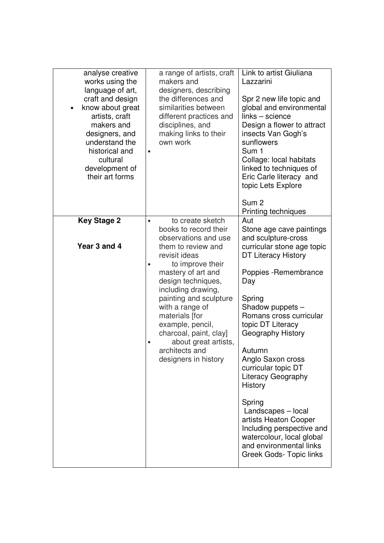| analyse creative<br>works using the<br>language of art,<br>craft and design<br>know about great<br>$\bullet$<br>artists, craft<br>makers and<br>designers, and<br>understand the<br>historical and<br>cultural<br>development of<br>their art forms | a range of artists, craft<br>makers and<br>designers, describing<br>the differences and<br>similarities between<br>different practices and<br>disciplines, and<br>making links to their<br>own work<br>$\bullet$                                    | Link to artist Giuliana<br>Lazzarini<br>Spr 2 new life topic and<br>global and environmental<br>links - science<br>Design a flower to attract<br>insects Van Gogh's<br>sunflowers<br>Sum 1<br>Collage: local habitats<br>linked to techniques of<br>Eric Carle literacy and<br>topic Lets Explore |
|-----------------------------------------------------------------------------------------------------------------------------------------------------------------------------------------------------------------------------------------------------|-----------------------------------------------------------------------------------------------------------------------------------------------------------------------------------------------------------------------------------------------------|---------------------------------------------------------------------------------------------------------------------------------------------------------------------------------------------------------------------------------------------------------------------------------------------------|
|                                                                                                                                                                                                                                                     |                                                                                                                                                                                                                                                     | Sum <sub>2</sub>                                                                                                                                                                                                                                                                                  |
| <b>Key Stage 2</b>                                                                                                                                                                                                                                  | to create sketch<br>$\bullet$<br>books to record their<br>observations and use                                                                                                                                                                      | Printing techniques<br>Aut<br>Stone age cave paintings<br>and sculpture-cross                                                                                                                                                                                                                     |
| Year 3 and 4                                                                                                                                                                                                                                        | them to review and<br>revisit ideas<br>to improve their<br>$\bullet$<br>mastery of art and<br>design techniques,<br>including drawing,<br>painting and sculpture<br>with a range of<br>materials [for<br>example, pencil,<br>charcoal, paint, clay] | curricular stone age topic<br><b>DT Literacy History</b><br>Poppies - Remembrance<br>Day<br>Spring<br>Shadow puppets -<br>Romans cross curricular<br>topic DT Literacy<br>Geography History                                                                                                       |
|                                                                                                                                                                                                                                                     | about great artists,<br>$\bullet$<br>architects and<br>designers in history                                                                                                                                                                         | Autumn<br>Anglo Saxon cross<br>curricular topic DT<br><b>Literacy Geography</b><br>History                                                                                                                                                                                                        |
|                                                                                                                                                                                                                                                     |                                                                                                                                                                                                                                                     | Spring<br>Landscapes - local<br>artists Heaton Cooper<br>Including perspective and<br>watercolour, local global<br>and environmental links<br>Greek Gods- Topic links                                                                                                                             |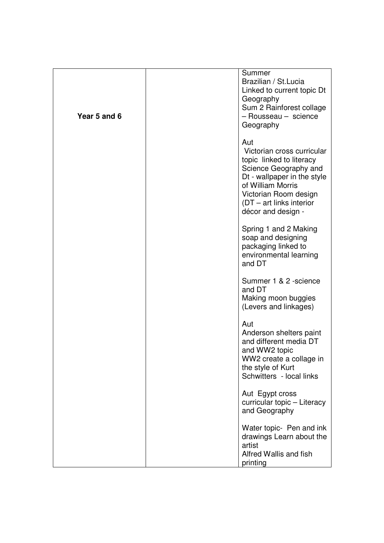| Year 5 and 6 | Summer<br>Brazilian / St. Lucia<br>Linked to current topic Dt<br>Geography<br>Sum 2 Rainforest collage<br>- Rousseau - science<br>Geography                                                                              |
|--------------|--------------------------------------------------------------------------------------------------------------------------------------------------------------------------------------------------------------------------|
|              | Aut<br>Victorian cross curricular<br>topic linked to literacy<br>Science Geography and<br>Dt - wallpaper in the style<br>of William Morris<br>Victorian Room design<br>$(DT - art links interior)$<br>décor and design - |
|              | Spring 1 and 2 Making<br>soap and designing<br>packaging linked to<br>environmental learning<br>and DT                                                                                                                   |
|              | Summer 1 & 2 -science<br>and DT<br>Making moon buggies<br>(Levers and linkages)                                                                                                                                          |
|              | Aut<br>Anderson shelters paint<br>and different media DT<br>and WW2 topic<br>WW2 create a collage in<br>the style of Kurt<br>Schwitters - local links                                                                    |
|              | Aut Egypt cross<br>curricular topic - Literacy<br>and Geography                                                                                                                                                          |
|              | Water topic- Pen and ink<br>drawings Learn about the<br>artist<br>Alfred Wallis and fish<br>printing                                                                                                                     |